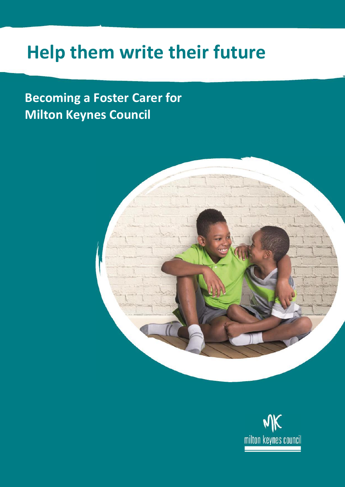## **Help them write their future**

## **Becoming a Foster Carer for Milton Keynes Council**



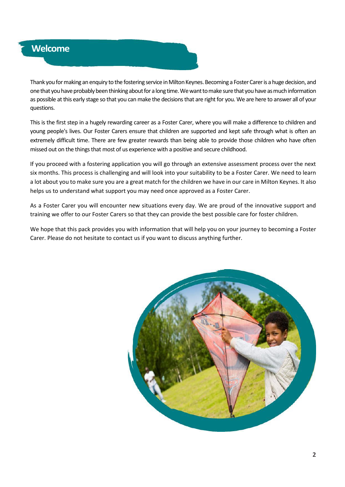

Thank you for making an enquiry to the fostering service in Milton Keynes. Becoming a Foster Carer is a huge decision, and one that you have probably been thinking about for a long time. We want to make sure that you have as much information as possible at this early stage so that you can make the decisions that are right for you. We are here to answer all of your questions.

This is the first step in a hugely rewarding career as a Foster Carer, where you will make a difference to children and young people's lives. Our Foster Carers ensure that children are supported and kept safe through what is often an extremely difficult time. There are few greater rewards than being able to provide those children who have often missed out on the things that most of us experience with a positive and secure childhood.

If you proceed with a fostering application you will go through an extensive assessment process over the next six months. This process is challenging and will look into your suitability to be a Foster Carer. We need to learn a lot about you to make sure you are a great match for the children we have in our care in Milton Keynes. It also helps us to understand what support you may need once approved as a Foster Carer.

As a Foster Carer you will encounter new situations every day. We are proud of the innovative support and training we offer to our Foster Carers so that they can provide the best possible care for foster children.

We hope that this pack provides you with information that will help you on your journey to becoming a Foster Carer. Please do not hesitate to contact us if you want to discuss anything further.

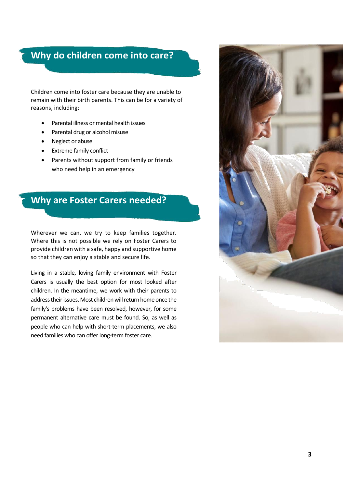## **Why do children come into care?**

Children come into foster care because they are unable to remain with their birth parents. This can be for a variety of reasons, including:

- Parental illness or mental health issues
- Parental drug or alcohol misuse
- Neglect or abuse
- Extreme family conflict
- Parents without support from family or friends who need help in an emergency

## **Why are Foster Carers needed?**

Wherever we can, we try to keep families together. Where this is not possible we rely on Foster Carers to provide children with a safe, happy and supportive home so that they can enjoy a stable and secure life.

Living in a stable, loving family environment with Foster Carers is usually the best option for most looked after children. In the meantime, we work with their parents to address their issues. Most children will return home once the family's problems have been resolved, however, for some permanent alternative care must be found. So, as well as people who can help with short-term placements, we also need families who can offer long-term foster care.

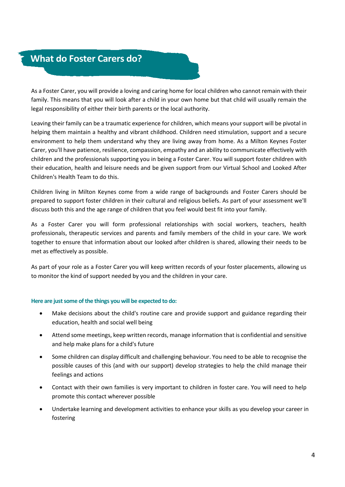## **What do Foster Carers do?**

As a Foster Carer, you will provide a loving and caring home for local children who cannot remain with their family. This means that you will look after a child in your own home but that child will usually remain the legal responsibility of either their birth parents or the local authority.

Leaving their family can be a traumatic experience for children, which means your support will be pivotal in helping them maintain a healthy and vibrant childhood. Children need stimulation, support and a secure environment to help them understand why they are living away from home. As a Milton Keynes Foster Carer, you'll have patience, resilience, compassion, empathy and an ability to communicate effectively with children and the professionals supporting you in being a Foster Carer. You will support foster children with their education, health and leisure needs and be given support from our Virtual School and Looked After Children's Health Team to do this.

Children living in Milton Keynes come from a wide range of backgrounds and Foster Carers should be prepared to support foster children in their cultural and religious beliefs. As part of your assessment we'll discuss both this and the age range of children that you feel would best fit into your family.

As a Foster Carer you will form professional relationships with social workers, teachers, health professionals, therapeutic services and parents and family members of the child in your care. We work together to ensure that information about our looked after children is shared, allowing their needs to be met as effectively as possible.

As part of your role as a Foster Carer you will keep written records of your foster placements, allowing us to monitor the kind of support needed by you and the children in your care.

#### **Here are just some of the things you will be expected to do:**

- Make decisions about the child's routine care and provide support and guidance regarding their education, health and social well being
- Attend some meetings, keep written records, manage information that is confidential and sensitive and help make plans for a child's future
- Some children can display difficult and challenging behaviour. You need to be able to recognise the possible causes of this (and with our support) develop strategies to help the child manage their feelings and actions
- Contact with their own families is very important to children in foster care. You will need to help promote this contact wherever possible
- Undertake learning and development activities to enhance your skills as you develop your career in fostering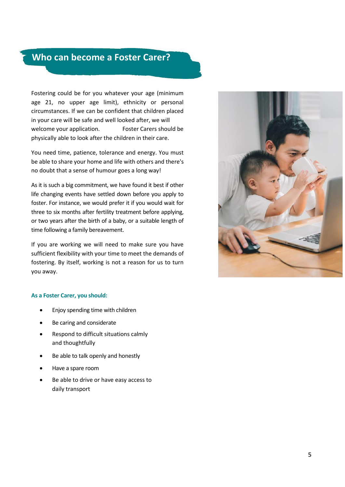## **Who can become a Foster Carer?**

Fostering could be for you whatever your age (minimum age 21, no upper age limit), ethnicity or personal circumstances. If we can be confident that children placed in your care will be safe and well looked after, we will welcome your application. Foster Carers should be physically able to look after the children in their care.

You need time, patience, tolerance and energy. You must be able to share your home and life with others and there's no doubt that a sense of humour goes a long way!

As it is such a big commitment, we have found it best if other life changing events have settled down before you apply to foster. For instance, we would prefer it if you would wait for three to six months after fertility treatment before applying, or two years after the birth of a baby, or a suitable length of time following a family bereavement.

If you are working we will need to make sure you have sufficient flexibility with your time to meet the demands of fostering. By itself, working is not a reason for us to turn you away.



#### **As a Foster Carer, you should:**

- Enjoy spending time with children
- Be caring and considerate
- Respond to difficult situations calmly and thoughtfully
- Be able to talk openly and honestly
- Have a spare room
- Be able to drive or have easy access to daily transport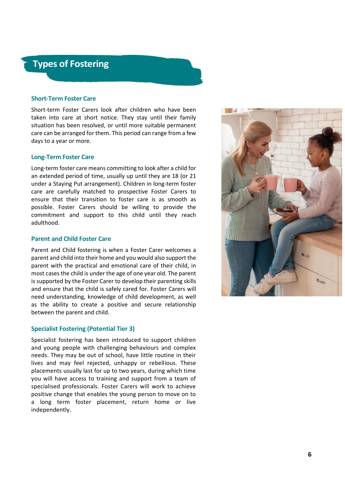### **Types of Fostering**

#### **Short-Term Foster Care**

Short-term Foster Carers look after children who have been taken into care at short notice. They stay until their family situation has been resolved, or until more suitable permanent care can be arranged for them. This period can range from a few days to a year or more.

#### **Long-Term Foster Care**

Long-term foster care means committing to look after a child for an extended period of time, usually up until they are 18 (or 21 under a Staying Put arrangement). Children in long-term foster care are carefully matched to prospective Foster Carers to ensure that their transition to foster care is as smooth as possible. Foster Carers should be willing to provide the commitment and support to this child until they reach adulthood.

#### **Parent and Child Foster Care**

Parent and Child fostering is when a Foster Carer welcomes a parent and child into their home and you would also support the parent with the practical and emotional care of their child, in most cases the child is under the age of one year old. The parent is supported by the Foster Carer to develop their parenting skills and ensure that the child is safely cared for. Foster Carers will need understanding, knowledge of child development, as well as the ability to create a positive and secure relationship between the parent and child.

#### **Specialist Fostering (Potential Tier 3)**

Specialist fostering has been introduced to support children and young people with challenging behaviours and complex needs. They may be out of school, have little routine in their lives and may feel rejected, unhappy or rebellious. These placements usually last for up to two years, during which time you will have access to training and support from a team of specialised professionals. Foster Carers will work to achieve positive change that enables the young person to move on to a long term foster placement, return home or live independently.

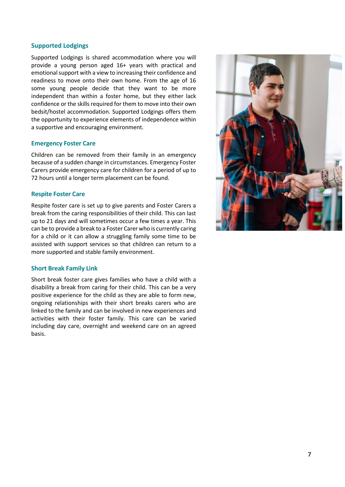#### **Supported Lodgings**

Supported Lodgings is shared accommodation where you will provide a young person aged 16+ years with practical and emotional support with a view to increasing their confidence and readiness to move onto their own home. From the age of 16 some young people decide that they want to be more independent than within a foster home, but they either lack confidence or the skills required for them to move into their own bedsit/hostel accommodation. Supported Lodgings offers them the opportunity to experience elements of independence within a supportive and encouraging environment.

#### **Emergency Foster Care**

Children can be removed from their family in an emergency because of a sudden change in circumstances. Emergency Foster Carers provide emergency care for children for a period of up to 72 hours until a longer term placement can be found.

#### **Respite Foster Care**

Respite foster care is set up to give parents and Foster Carers a break from the caring responsibilities of their child. This can last up to 21 days and will sometimes occur a few times a year. This can be to provide a break to a Foster Carer who is currently caring for a child or it can allow a struggling family some time to be assisted with support services so that children can return to a more supported and stable family environment.

#### **Short Break Family Link**

Short break foster care gives families who have a child with a disability a break from caring for their child. This can be a very positive experience for the child as they are able to form new, ongoing relationships with their short breaks carers who are linked to the family and can be involved in new experiences and activities with their foster family. This care can be varied including day care, overnight and weekend care on an agreed basis.

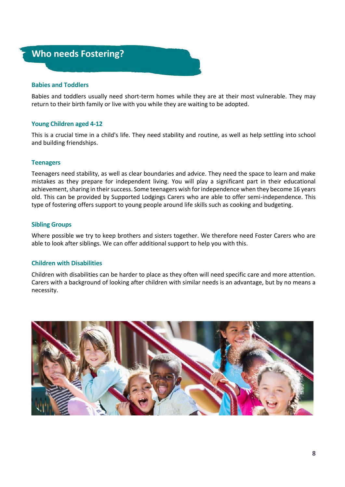# **Who needs Fostering?**

#### **Babies and Toddlers**

Babies and toddlers usually need short-term homes while they are at their most vulnerable. They may return to their birth family or live with you while they are waiting to be adopted.

#### **Young Children aged 4-12**

This is a crucial time in a child's life. They need stability and routine, as well as help settling into school and building friendships.

#### **Teenagers**

Teenagers need stability, as well as clear boundaries and advice. They need the space to learn and make mistakes as they prepare for independent living. You will play a significant part in their educational achievement, sharing in their success. Some teenagers wish for independence when they become 16 years old. This can be provided by Supported Lodgings Carers who are able to offer semi-independence. This type of fostering offers support to young people around life skills such as cooking and budgeting.

#### **Sibling Groups**

Where possible we try to keep brothers and sisters together. We therefore need Foster Carers who are able to look after siblings. We can offer additional support to help you with this.

#### **Children with Disabilities**

Children with disabilities can be harder to place as they often will need specific care and more attention. Carers with a background of looking after children with similar needs is an advantage, but by no means a necessity.

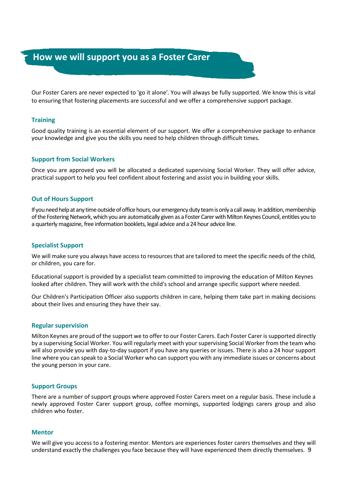### **How we will support you as a Foster Carer**

Our Foster Carers are never expected to 'go it alone'. You will always be fully supported. We know this is vital to ensuring that fostering placements are successful and we offer a comprehensive support package.

#### **Training**

Good quality training is an essential element of our support. We offer a comprehensive package to enhance your knowledge and give you the skills you need to help children through difficult times.

#### **Support from Social Workers**

Once you are approved you will be allocated a dedicated supervising Social Worker. They will offer advice, practical support to help you feel confident about fostering and assist you in building your skills.

#### **Out of Hours Support**

If you need help at any time outside of office hours, our emergency duty team is only a call away. In addition, membership of the Fostering Network, which you are automatically given as a Foster Carer with Milton Keynes Council, entitles you to a quarterlymagazine, free information booklets, legal advice and a 24 hour advice line.

#### **Specialist Support**

We will make sure you always have access to resources that are tailored to meet the specific needs of the child, or children, you care for.

Educational support is provided by a specialist team committed to improving the education of Milton Keynes looked after children. They will work with the child's school and arrange specific support where needed.

Our Children's Participation Officer also supports children in care, helping them take part in making decisions about their lives and ensuring they have their say.

#### **Regular supervision**

Milton Keynes are proud of the support we to offer to our Foster Carers. Each Foster Carer is supported directly by a supervising Social Worker. You will regularly meet with your supervising Social Worker from the team who will also provide you with day-to-day support if you have any queries or issues. There is also a 24 hour support line where you can speak to a Social Worker who can support you with any immediate issues or concerns about the young person in your care.

#### **Support Groups**

There are a number of support groups where approved Foster Carers meet on a regular basis. These include a newly approved Foster Carer support group, coffee mornings, supported lodgings carers group and also children who foster.

#### **Mentor**

We will give you access to a fostering mentor. Mentors are experiences foster carers themselves and they will understand exactly the challenges you face because they will have experienced them directly themselves. **9**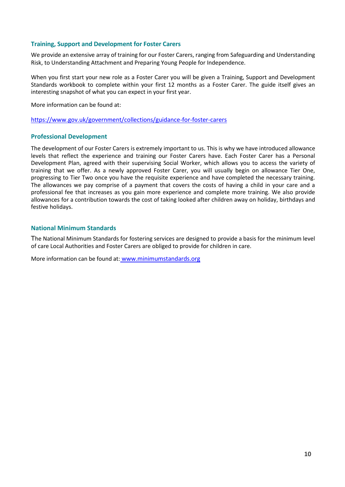#### **Training, Support and Development for Foster Carers**

We provide an extensive array of training for our Foster Carers, ranging from Safeguarding and Understanding Risk, to Understanding Attachment and Preparing Young People for Independence.

When you first start your new role as a Foster Carer you will be given a Training, Support and Development Standards workbook to complete within your first 12 months as a Foster Carer. The guide itself gives an interesting snapshot of what you can expect in your first year.

More information can be found at:

<https://www.gov.uk/government/collections/guidance-for-foster-carers>

#### **Professional Development**

The development of our Foster Carers is extremely important to us. This is why we have introduced allowance levels that reflect the experience and training our Foster Carers have. Each Foster Carer has a Personal Development Plan, agreed with their supervising Social Worker, which allows you to access the variety of training that we offer. As a newly approved Foster Carer, you will usually begin on allowance Tier One, progressing to Tier Two once you have the requisite experience and have completed the necessary training. The allowances we pay comprise of a payment that covers the costs of having a child in your care and a professional fee that increases as you gain more experience and complete more training. We also provide allowances for a contribution towards the cost of taking looked after children away on holiday, birthdays and festive holidays.

#### **National Minimum Standards**

The National Minimum Standards for fostering services are designed to provide a basis for the minimum level of care Local Authorities and Foster Carers are obliged to provide for children in care.

More information can be found at: [www.minimumstandards.org](http://www.minimumstandards.org/)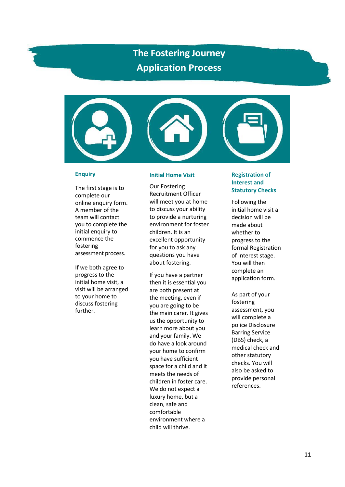## **The Fostering Journey Application Process**



#### **Enquiry**

The first stage is to complete our online enquiry form. A member of the team will contact you to complete the initial enquiry to commence the fostering assessment process.

If we both agree to progress to the initial home visit, a visit will be arranged to your home to discuss fostering further.

#### **Initial Home Visit**

Our Fostering Recruitment Officer will meet you at home to discuss your ability to provide a nurturing environment for foster children. It is an excellent opportunity for you to ask any questions you have about fostering.

If you have a partner then it is essential you are both present at the meeting, even if you are going to be the main carer. It gives us the opportunity to learn more about you and your family. We do have a look around your home to confirm you have sufficient space for a child and it meets the needs of children in foster care. We do not expect a luxury home, but a clean, safe and comfortable environment where a child will thrive.

#### **Registration of Interest and Statutory Checks**

Following the initial home visit a decision will be made about whether to progress to the formal Registration of Interest stage. You will then complete an application form.

As part of your fostering assessment, you will complete a police Disclosure Barring Service (DBS) check, a medical check and other statutory checks. You will also be asked to provide personal references.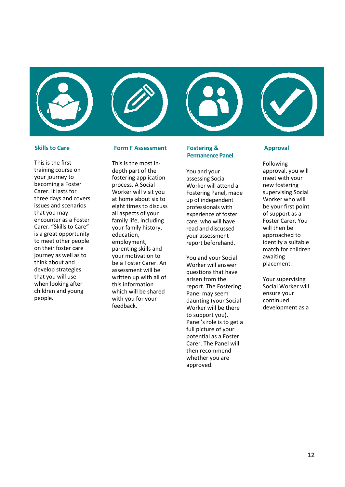



This is the most in-

This is the first training course on your journey to becoming a Foster Carer. It lasts for three days and covers issues and scenarios that you may encounter as a Foster Carer. "Skills to Care" is a great opportunity to meet other people on their foster care journey as well as to think about and develop strategies that you will use when looking after children and young people.

#### depth part of the fostering application process. A Social Worker will visit you at home about six to eight times to discuss all aspects of your family life, including your family history,

education, employment, parenting skills and your motivation to be a Foster Carer. An assessment will be written up with all of this information which will be shared with you for your feedback.

#### **Skills to Care Form F Assessment Fostering & Approval Permanence Panel**

You and your assessing Social Worker will attend a Fostering Panel, made up of independent professionals with experience of foster care, who will have read and discussed your assessment report beforehand.

You and your Social Worker will answer questions that have arisen from the report. The Fostering Panel may seem daunting (your Social Worker will be there to support you). Panel's role is to get a full picture of your potential as a Foster Carer. The Panel will then recommend whether you are approved.

Following approval, you will meet with your new fostering supervising Social Worker who will be your first point of support as a Foster Carer. You will then be approached to identify a suitable match for children awaiting placement.

Your supervising Social Worker will ensure your continued development as a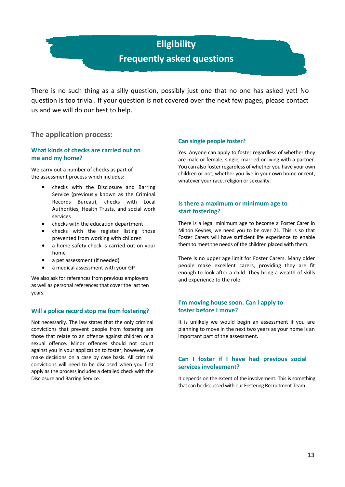## **Eligibility Frequently asked questions**

There is no such thing as a silly question, possibly just one that no one has asked yet! No question is too trivial. If your question is not covered over the next few pages, please contact us and we will do our best to help.

**The application process:**

#### **What kinds of checks are carried out on me and my home?**

We carry out a number of checks as part of the assessment process which includes:

- checks with the Disclosure and Barring Service (previously known as the Criminal Records Bureau), checks with Local Authorities, Health Trusts, and social work services
- checks with the education department
- checks with the register listing those prevented from working with children
- a home safety check is carried out on your home
- a pet assessment (if needed)
- a medical assessment with your GP

We also ask for references from previous employers as well as personal references that cover the last ten years.

#### **Will a police record stop me from fostering?**

Not necessarily. The law states that the only criminal convictions that prevent people from fostering are those that relate to an offence against children or a sexual offence. Minor offences should not count against you in your application to foster; however, we make decisions on a case by case basis. All criminal convictions will need to be disclosed when you first apply as the process includes a detailed check with the Disclosure and Barring Service.

#### **Can single people foster?**

Yes. Anyone can apply to foster regardless of whether they are male or female, single, married or living with a partner. You can also foster regardless of whether you have your own children or not, whether you live in your own home or rent, whatever your race, religion or sexuality.

#### **Is there a maximum or minimum age to start fostering?**

There is a legal minimum age to become a Foster Carer in Milton Keynes, we need you to be over 21. This is so that Foster Carers will have sufficient life experience to enable them to meet the needs of the children placed with them.

There is no upper age limit for Foster Carers. Many older people make excellent carers, providing they are fit enough to look after a child. They bring a wealth of skills and experience to the role.

#### **I'm moving house soon. Can I apply to foster before I move?**

It is unlikely we would begin an assessment if you are planning to move in the next two years as your home is an important part of the assessment.

#### **Can I foster if I have had previous social services involvement?**

It depends on the extent of the involvement. This is something that can be discussed with our Fostering Recruitment Team.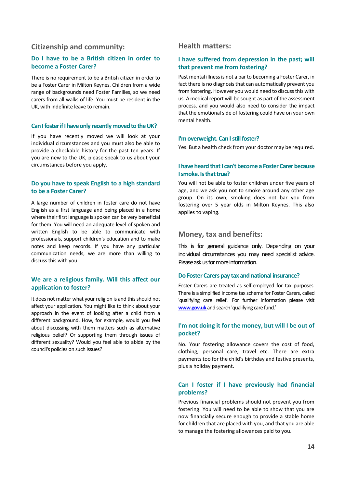#### **Citizenship and community:**

#### **Do I have to be a British citizen in order to become a Foster Carer?**

There is no requirement to be a British citizen in order to be a Foster Carer in Milton Keynes. Children from a wide range of backgrounds need Foster Families, so we need carers from all walks of life. You must be resident in the UK, with indefinite leave to remain.

#### **Can I foster if I have only recently moved to the UK?**

If you have recently moved we will look at your individual circumstances and you must also be able to provide a checkable history for the past ten years. If you are new to the UK, please speak to us about your circumstances before you apply.

#### **Do you have to speak English to a high standard to be a Foster Carer?**

A large number of children in foster care do not have English as a first language and being placed in a home where their first language is spoken can be very beneficial for them. You will need an adequate level of spoken and written English to be able to communicate with professionals, support children's education and to make notes and keep records. If you have any particular communication needs, we are more than willing to discuss this with you.

#### **We are a religious family. Will this affect our application to foster?**

It does not matter what your religion is and this should not affect your application. You might like to think about your approach in the event of looking after a child from a different background. How, for example, would you feel about discussing with them matters such as alternative religious belief? Or supporting them through issues of different sexuality? Would you feel able to abide by the council's policies on such issues?

#### **Health matters:**

#### **I have suffered from depression in the past; will that prevent me from fostering?**

Past mental illness is not a bar to becoming a Foster Carer, in fact there is no diagnosis that can automatically prevent you from fostering. However you would need to discuss this with us. A medical report will be sought as part of the assessment process, and you would also need to consider the impact that the emotional side of fostering could have on your own mental health.

#### **I'm overweight. Can I still foster?**

Yes. But a health check from your doctor may be required.

#### **I have heard that I can't become a Foster Carer because I smoke. Is that true?**

You will not be able to foster children under five years of age, and we ask you not to smoke around any other age group. On its own, smoking does not bar you from fostering over 5 year olds in Milton Keynes. This also applies to vaping.

#### **Money, tax and benefits:**

This is for general guidance only. Depending on your individual circumstances you may need specialist advice. Please ask us for more information.

#### **Do Foster Carers pay tax and national insurance?**

Foster Carers are treated as self-employed for tax purposes. There is a simplified income tax scheme for Foster Carers, called 'qualifying care relief'. For further information please visit **[www.gov.uk](http://www.gov.uk/)** [a](http://www.gov.uk/)nd search 'qualifying care fund.'

#### **I'm not doing it for the money, but will I be out of pocket?**

No. Your fostering allowance covers the cost of food, clothing, personal care, travel etc. There are extra payments too for the child's birthday and festive presents, plus a holiday payment.

#### **Can I foster if I have previously had financial problems?**

Previous financial problems should not prevent you from fostering. You will need to be able to show that you are now financially secure enough to provide a stable home for children that are placed with you, and that you are able to manage the fostering allowances paid to you.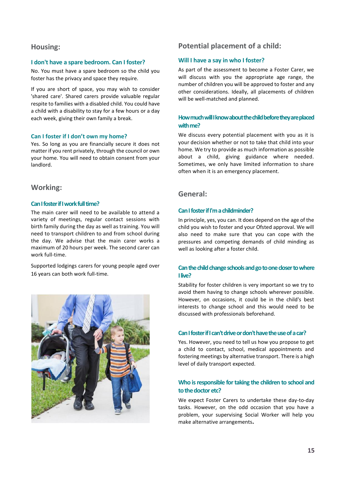#### **Housing:**

#### **I don't have a spare bedroom. Can I foster?**

No. You must have a spare bedroom so the child you foster has the privacy and space they require.

If you are short of space, you may wish to consider 'shared care'. Shared carers provide valuable regular respite to families with a disabled child. You could have a child with a disability to stay for a few hours or a day each week, giving their own family a break.

#### **Can I foster if I don't own my home?**

Yes. So long as you are financially secure it does not matter if you rent privately, through the council or own your home. You will need to obtain consent from your landlord.

#### **Working:**

#### **Can I foster if I work full time?**

The main carer will need to be available to attend a variety of meetings, regular contact sessions with birth family during the day as well as training. You will need to transport children to and from school during the day. We advise that the main carer works a maximum of 20 hours per week. The second carer can work full-time.

Supported lodgings carers for young people aged over 16 years can both work full-time.



#### **Potential placement of a child:**

#### **Will I have a say in who I foster?**

As part of the assessment to become a Foster Carer, we will discuss with you the appropriate age range, the number of children you will be approved to foster and any other considerations. Ideally, all placements of children will be well-matched and planned.

#### **How much will I know about the child before they are placed with me?**

We discuss every potential placement with you as it is your decision whether or not to take that child into your home. We try to provide as much information as possible about a child, giving guidance where needed. Sometimes, we only have limited information to share often when it is an emergency placement.

#### **General:**

#### **Can I foster if I'm a childminder?**

In principle, yes, you can. It does depend on the age of the child you wish to foster and your Ofsted approval. We will also need to make sure that you can cope with the pressures and competing demands of child minding as well as looking after a foster child.

#### **Can the child change schools and go to one closer to where I live?**

Stability for foster children is very important so we try to avoid them having to change schools wherever possible. However, on occasions, it could be in the child's best interests to change school and this would need to be discussed with professionals beforehand.

#### **Can I foster if I can't drive or don't have the use of a car?**

Yes. However, you need to tell us how you propose to get a child to contact, school, medical appointments and fostering meetings by alternative transport. There is a high level of daily transport expected.

#### **Who is responsible for taking the children to school and to the doctor etc?**

We expect Foster Carers to undertake these day-to-day tasks. However, on the odd occasion that you have a problem, your supervising Social Worker will help you make alternative arrangements**.**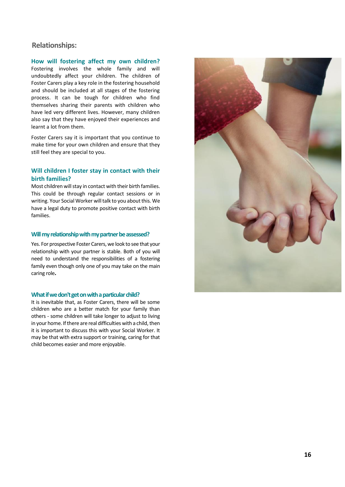#### **Relationships:**

**How will fostering affect my own children?**  Fostering involves the whole family and will undoubtedly affect your children. The children of Foster Carers play a key role in the fostering household and should be included at all stages of the fostering process. It can be tough for children who find themselves sharing their parents with children who have led very different lives. However, many children also say that they have enjoyed their experiences and learnt a lot from them.

Foster Carers say it is important that you continue to make time for your own children and ensure that they still feel they are special to you.

#### **Will children I foster stay in contact with their birth families?**

Most children will stay in contact with their birth families. This could be through regular contact sessions or in writing. Your Social Worker will talk to you about this. We have a legal duty to promote positive contact with birth families.

#### **Will my relationship with my partner be assessed?**

Yes. For prospective Foster Carers, we look to see that your relationship with your partner is stable. Both of you will need to understand the responsibilities of a fostering family even though only one of you may take on the main caring role**.**

#### **What if we don't get on with a particular child?**

It is inevitable that, as Foster Carers, there will be some children who are a better match for your family than others - some children will take longer to adjust to living in your home. If there are real difficulties with a child, then it is important to discuss this with your Social Worker. It may be that with extra support or training, caring for that child becomes easier and more enjoyable.

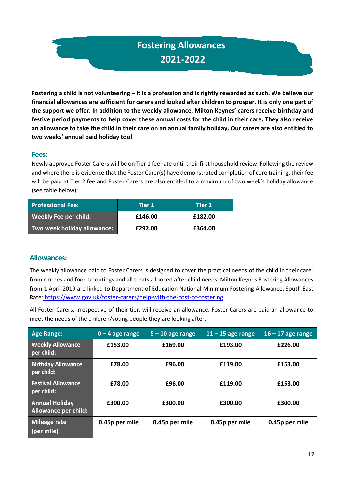## **Fostering Allowances 2021-2022**

Fostering a child is not volunteering – it is a profession and is rightly rewarded as such. We believe our **financial allowances are sufficient for carers and looked after children to prosper. It is only one part of the support we offer. In addition to the weekly allowance, Milton Keynes' carers receive birthday and festive period payments to help cover these annual costs for the child in their care. They also receive an allowance to take the child in their care on an annual family holiday. Our carers are also entitled to two weeks' annual paid holiday too!**

#### **Fees:**

Newly approved Foster Carers will be on Tier 1 fee rate until their first household review. Following the review and where there is evidence that the Foster Carer(s) have demonstrated completion of core training, their fee will be paid at Tier 2 fee and Foster Carers are also entitled to a maximum of two week's holiday allowance (see table below):

| <b>Professional Fee:</b>    | Tier $\boldsymbol{1}$ | Tier 2' |
|-----------------------------|-----------------------|---------|
| Weekly Fee per child:       | £146.00               | £182.00 |
| Two week holiday allowance: | £292.00               | £364.00 |

#### **Allowances:**

The weekly allowance paid to Foster Carers is designed to cover the practical needs of the child in their care; from clothes and food to outings and all treats a looked after child needs. Milton Keynes Fostering Allowances from 1 April 2019 are linked to Department of Education National Minimum Fostering Allowance, South East Rate: <https://www.gov.uk/foster-carers/help-with-the-cost-of-fostering>

All Foster Carers, irrespective of their tier, will receive an allowance. Foster Carers are paid an allowance to meet the needs of the children/young people they are looking after.

| <b>Age Range:</b>                                    | $0 - 4$ age range | $5 - 10$ age range | $11 - 15$ age range | $16 - 17$ age range |
|------------------------------------------------------|-------------------|--------------------|---------------------|---------------------|
| <b>Weekly Allowance</b><br>per child:                | £153.00           | £169.00            | £193.00             | £226.00             |
| <b>Birthday Allowance</b><br>per child:              | £78.00            | £96.00             | £119.00             | £153.00             |
| <b>Festival Allowance</b><br>per chil <u>d:</u> ˈ    | £78.00            | £96.00             | £119.00             | £153.00             |
| <b>Annual Holiday</b><br><b>Allowance per child:</b> | £300.00           | £300.00            | £300.00             | £300.00             |
| <b>Mileage rate</b><br>(per mile)                    | 0.45p per mile    | 0.45p per mile     | 0.45p per mile      | 0.45p per mile      |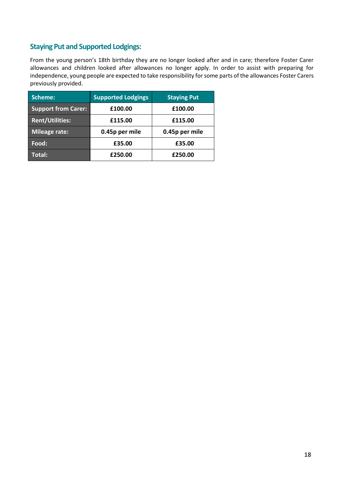#### **Staying Put and Supported Lodgings:**

From the young person's 18th birthday they are no longer looked after and in care; therefore Foster Carer allowances and children looked after allowances no longer apply. In order to assist with preparing for independence, young people are expected to take responsibility for some parts of the allowances Foster Carers previously provided.

| Scheme:                    | <b>Supported Lodgings</b> | <b>Staying Put</b> |  |
|----------------------------|---------------------------|--------------------|--|
| <b>Support from Carer:</b> | £100.00                   | £100.00            |  |
| <b>Rent/Utilities:</b>     | £115.00                   | £115.00            |  |
| Mileage rate:              | 0.45p per mile            | 0.45p per mile     |  |
| Food:                      | £35.00                    | £35.00             |  |
| Total:                     | £250.00                   | £250.00            |  |